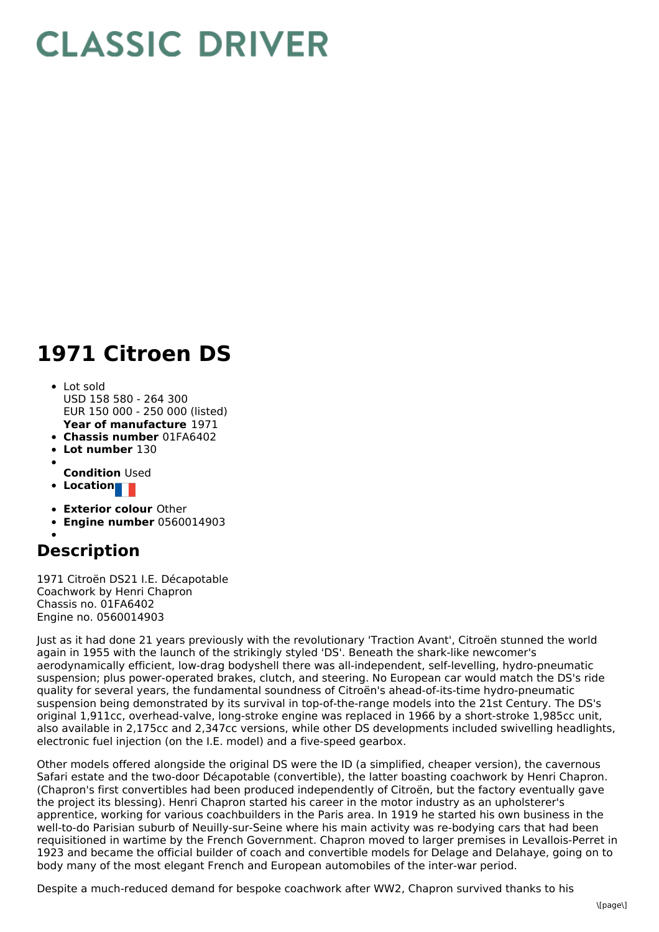## **CLASSIC DRIVER**

## **1971 Citroen DS**

- **Year of manufacture** 1971 Lot sold USD 158 580 - 264 300 EUR 150 000 - 250 000 (listed)
- **Chassis number** 01FA6402
- **Lot number** 130
- 
- **Condition** Used
- **Location**
- **Exterior colour** Other
- **Engine number** 0560014903

## **Description**

1971 Citroën DS21 I.E. Décapotable Coachwork by Henri Chapron Chassis no. 01FA6402 Engine no. 0560014903

Just as it had done 21 years previously with the revolutionary 'Traction Avant', Citroën stunned the world again in 1955 with the launch of the strikingly styled 'DS'. Beneath the shark-like newcomer's aerodynamically efficient, low-drag bodyshell there was all-independent, self-levelling, hydro-pneumatic suspension; plus power-operated brakes, clutch, and steering. No European car would match the DS's ride quality for several years, the fundamental soundness of Citroën's ahead-of-its-time hydro-pneumatic suspension being demonstrated by its survival in top-of-the-range models into the 21st Century. The DS's original 1,911cc, overhead-valve, long-stroke engine was replaced in 1966 by a short-stroke 1,985cc unit, also available in 2,175cc and 2,347cc versions, while other DS developments included swivelling headlights, electronic fuel injection (on the I.E. model) and a five-speed gearbox.

Other models offered alongside the original DS were the ID (a simplified, cheaper version), the cavernous Safari estate and the two-door Décapotable (convertible), the latter boasting coachwork by Henri Chapron. (Chapron's first convertibles had been produced independently of Citroën, but the factory eventually gave the project its blessing). Henri Chapron started his career in the motor industry as an upholsterer's apprentice, working for various coachbuilders in the Paris area. In 1919 he started his own business in the well-to-do Parisian suburb of Neuilly-sur-Seine where his main activity was re-bodying cars that had been requisitioned in wartime by the French Government. Chapron moved to larger premises in Levallois-Perret in 1923 and became the official builder of coach and convertible models for Delage and Delahaye, going on to body many of the most elegant French and European automobiles of the inter-war period.

Despite a much-reduced demand for bespoke coachwork after WW2, Chapron survived thanks to his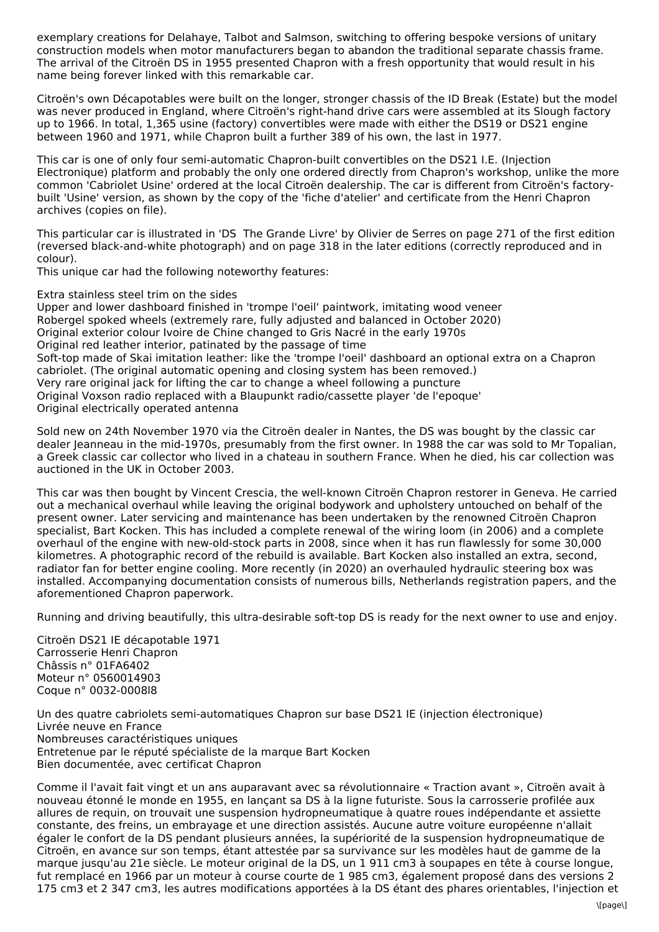exemplary creations for Delahaye, Talbot and Salmson, switching to offering bespoke versions of unitary construction models when motor manufacturers began to abandon the traditional separate chassis frame. The arrival of the Citroën DS in 1955 presented Chapron with a fresh opportunity that would result in his name being forever linked with this remarkable car.

Citroën's own Décapotables were built on the longer, stronger chassis of the ID Break (Estate) but the model was never produced in England, where Citroën's right-hand drive cars were assembled at its Slough factory up to 1966. In total, 1,365 usine (factory) convertibles were made with either the DS19 or DS21 engine between 1960 and 1971, while Chapron built a further 389 of his own, the last in 1977.

This car is one of only four semi-automatic Chapron-built convertibles on the DS21 I.E. (Injection Electronique) platform and probably the only one ordered directly from Chapron's workshop, unlike the more common 'Cabriolet Usine' ordered at the local Citroën dealership. The car is different from Citroën's factorybuilt 'Usine' version, as shown by the copy of the 'fiche d'atelier' and certificate from the Henri Chapron archives (copies on file).

This particular car is illustrated in 'DS The Grande Livre' by Olivier de Serres on page 271 of the first edition (reversed black-and-white photograph) and on page 318 in the later editions (correctly reproduced and in colour).

This unique car had the following noteworthy features:

Extra stainless steel trim on the sides

Upper and lower dashboard finished in 'trompe l'oeil' paintwork, imitating wood veneer Robergel spoked wheels (extremely rare, fully adjusted and balanced in October 2020) Original exterior colour Ivoire de Chine changed to Gris Nacré in the early 1970s Original red leather interior, patinated by the passage of time Soft-top made of Skai imitation leather: like the 'trompe l'oeil' dashboard an optional extra on a Chapron cabriolet. (The original automatic opening and closing system has been removed.) Very rare original jack for lifting the car to change a wheel following a puncture Original Voxson radio replaced with a Blaupunkt radio/cassette player 'de l'epoque' Original electrically operated antenna

Sold new on 24th November 1970 via the Citroën dealer in Nantes, the DS was bought by the classic car dealer Jeanneau in the mid-1970s, presumably from the first owner. In 1988 the car was sold to Mr Topalian, a Greek classic car collector who lived in a chateau in southern France. When he died, his car collection was auctioned in the UK in October 2003.

This car was then bought by Vincent Crescia, the well-known Citroën Chapron restorer in Geneva. He carried out a mechanical overhaul while leaving the original bodywork and upholstery untouched on behalf of the present owner. Later servicing and maintenance has been undertaken by the renowned Citroën Chapron specialist, Bart Kocken. This has included a complete renewal of the wiring loom (in 2006) and a complete overhaul of the engine with new-old-stock parts in 2008, since when it has run flawlessly for some 30,000 kilometres. A photographic record of the rebuild is available. Bart Kocken also installed an extra, second, radiator fan for better engine cooling. More recently (in 2020) an overhauled hydraulic steering box was installed. Accompanying documentation consists of numerous bills, Netherlands registration papers, and the aforementioned Chapron paperwork.

Running and driving beautifully, this ultra-desirable soft-top DS is ready for the next owner to use and enjoy.

Citroën DS21 IE décapotable 1971 Carrosserie Henri Chapron Châssis n° 01FA6402 Moteur n° 0560014903 Coque n° 0032-0008l8

Un des quatre cabriolets semi-automatiques Chapron sur base DS21 IE (injection électronique) Livrée neuve en France Nombreuses caractéristiques uniques Entretenue par le réputé spécialiste de la marque Bart Kocken Bien documentée, avec certificat Chapron

Comme il l'avait fait vingt et un ans auparavant avec sa révolutionnaire « Traction avant », Citroën avait à nouveau étonné le monde en 1955, en lançant sa DS à la ligne futuriste. Sous la carrosserie profilée aux allures de requin, on trouvait une suspension hydropneumatique à quatre roues indépendante et assiette constante, des freins, un embrayage et une direction assistés. Aucune autre voiture européenne n'allait égaler le confort de la DS pendant plusieurs années, la supériorité de la suspension hydropneumatique de Citroën, en avance sur son temps, étant attestée par sa survivance sur les modèles haut de gamme de la marque jusqu'au 21e siècle. Le moteur original de la DS, un 1 911 cm3 à soupapes en tête à course longue, fut remplacé en 1966 par un moteur à course courte de 1 985 cm3, également proposé dans des versions 2 175 cm3 et 2 347 cm3, les autres modifications apportées à la DS étant des phares orientables, l'injection et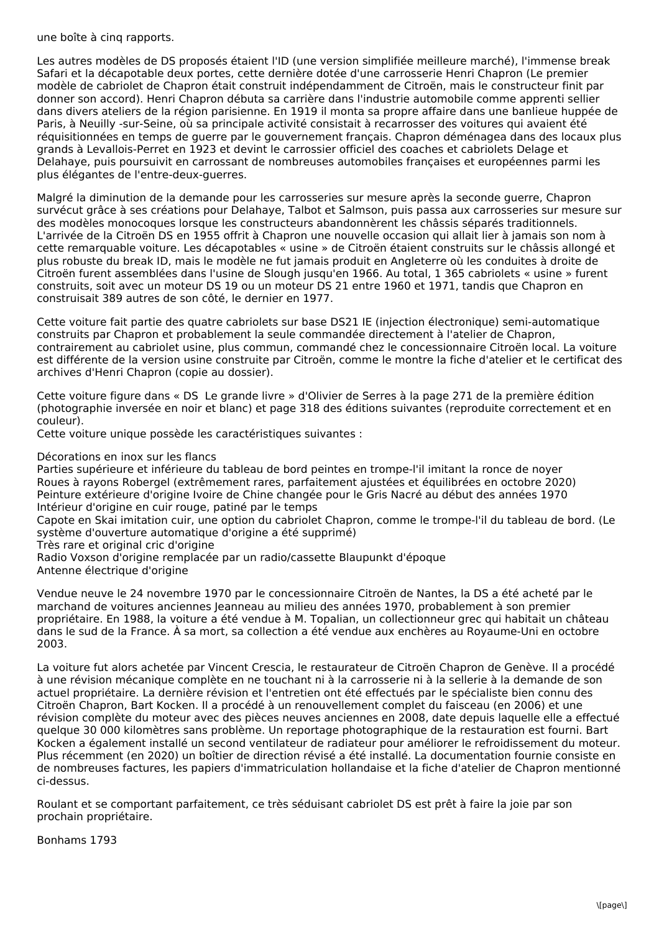## une boîte à cinq rapports.

Les autres modèles de DS proposés étaient l'ID (une version simplifiée meilleure marché), l'immense break Safari et la décapotable deux portes, cette dernière dotée d'une carrosserie Henri Chapron (Le premier modèle de cabriolet de Chapron était construit indépendamment de Citroën, mais le constructeur finit par donner son accord). Henri Chapron débuta sa carrière dans l'industrie automobile comme apprenti sellier dans divers ateliers de la région parisienne. En 1919 il monta sa propre affaire dans une banlieue huppée de Paris, à Neuilly -sur-Seine, où sa principale activité consistait à recarrosser des voitures qui avaient été réquisitionnées en temps de guerre par le gouvernement français. Chapron déménagea dans des locaux plus grands à Levallois-Perret en 1923 et devint le carrossier officiel des coaches et cabriolets Delage et Delahaye, puis poursuivit en carrossant de nombreuses automobiles françaises et européennes parmi les plus élégantes de l'entre-deux-guerres.

Malgré la diminution de la demande pour les carrosseries sur mesure après la seconde guerre, Chapron survécut grâce à ses créations pour Delahaye, Talbot et Salmson, puis passa aux carrosseries sur mesure sur des modèles monocoques lorsque les constructeurs abandonnèrent les châssis séparés traditionnels. L'arrivée de la Citroën DS en 1955 offrit à Chapron une nouvelle occasion qui allait lier à jamais son nom à cette remarquable voiture. Les décapotables « usine » de Citroën étaient construits sur le châssis allongé et plus robuste du break ID, mais le modèle ne fut jamais produit en Angleterre où les conduites à droite de Citroën furent assemblées dans l'usine de Slough jusqu'en 1966. Au total, 1 365 cabriolets « usine » furent construits, soit avec un moteur DS 19 ou un moteur DS 21 entre 1960 et 1971, tandis que Chapron en construisait 389 autres de son côté, le dernier en 1977.

Cette voiture fait partie des quatre cabriolets sur base DS21 IE (injection électronique) semi-automatique construits par Chapron et probablement la seule commandée directement à l'atelier de Chapron, contrairement au cabriolet usine, plus commun, commandé chez le concessionnaire Citroën local. La voiture est différente de la version usine construite par Citroën, comme le montre la fiche d'atelier et le certificat des archives d'Henri Chapron (copie au dossier).

Cette voiture figure dans « DS Le grande livre » d'Olivier de Serres à la page 271 de la première édition (photographie inversée en noir et blanc) et page 318 des éditions suivantes (reproduite correctement et en couleur).

Cette voiture unique possède les caractéristiques suivantes :

Décorations en inox sur les flancs

Parties supérieure et inférieure du tableau de bord peintes en trompe-l'il imitant la ronce de noyer Roues à rayons Robergel (extrêmement rares, parfaitement ajustées et équilibrées en octobre 2020) Peinture extérieure d'origine Ivoire de Chine changée pour le Gris Nacré au début des années 1970 Intérieur d'origine en cuir rouge, patiné par le temps

Capote en Skai imitation cuir, une option du cabriolet Chapron, comme le trompe-l'il du tableau de bord. (Le système d'ouverture automatique d'origine a été supprimé)

Très rare et original cric d'origine

Radio Voxson d'origine remplacée par un radio/cassette Blaupunkt d'époque Antenne électrique d'origine

Vendue neuve le 24 novembre 1970 par le concessionnaire Citroën de Nantes, la DS a été acheté par le marchand de voitures anciennes Jeanneau au milieu des années 1970, probablement à son premier propriétaire. En 1988, la voiture a été vendue à M. Topalian, un collectionneur grec qui habitait un château dans le sud de la France. À sa mort, sa collection a été vendue aux enchères au Royaume-Uni en octobre 2003.

La voiture fut alors achetée par Vincent Crescia, le restaurateur de Citroën Chapron de Genève. Il a procédé à une révision mécanique complète en ne touchant ni à la carrosserie ni à la sellerie à la demande de son actuel propriétaire. La dernière révision et l'entretien ont été effectués par le spécialiste bien connu des Citroën Chapron, Bart Kocken. Il a procédé à un renouvellement complet du faisceau (en 2006) et une révision complète du moteur avec des pièces neuves anciennes en 2008, date depuis laquelle elle a effectué quelque 30 000 kilomètres sans problème. Un reportage photographique de la restauration est fourni. Bart Kocken a également installé un second ventilateur de radiateur pour améliorer le refroidissement du moteur. Plus récemment (en 2020) un boîtier de direction révisé a été installé. La documentation fournie consiste en de nombreuses factures, les papiers d'immatriculation hollandaise et la fiche d'atelier de Chapron mentionné ci-dessus.

Roulant et se comportant parfaitement, ce très séduisant cabriolet DS est prêt à faire la joie par son prochain propriétaire.

Bonhams 1793